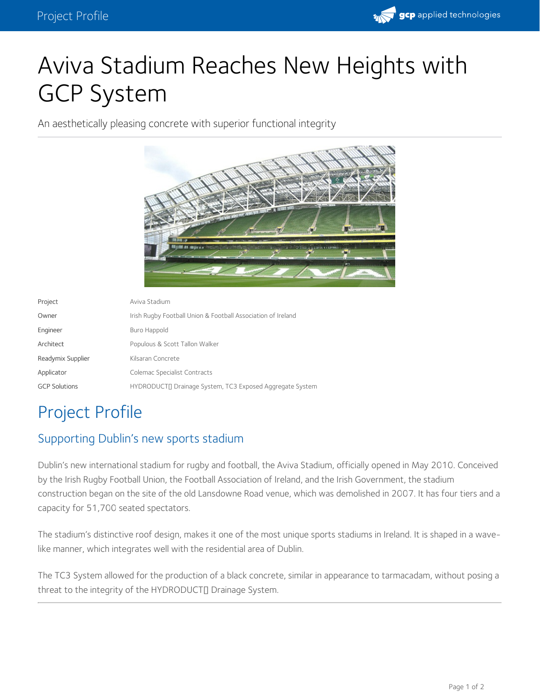

# Aviva Stadium Reaches New Heights with GCP System

An aesthetically pleasing concrete with superior functional integrity



| Project              | Aviva Stadium                                                |
|----------------------|--------------------------------------------------------------|
| Owner                | Irish Rugby Football Union & Football Association of Ireland |
| Engineer             | Buro Happold                                                 |
| Architect            | Populous & Scott Tallon Walker                               |
| Readymix Supplier    | Kilsaran Concrete                                            |
| Applicator           | Colemac Specialist Contracts                                 |
| <b>GCP Solutions</b> | HYDRODUCTI Drainage System, TC3 Exposed Aggregate System     |

## Project Profile

#### Supporting Dublin's new sports stadium

Dublin's new international stadium for rugby and football, the Aviva Stadium, officially opened in May 2010. Conceived by the Irish Rugby Football Union, the Football Association of Ireland, and the Irish Government, the stadium construction began on the site of the old Lansdowne Road venue, which was demolished in 2007. It has four tiers and a capacity for 51,700 seated spectators.

The stadium's distinctive roof design, makes it one of the most unique sports stadiums in Ireland. It is shaped in a wavelike manner, which integrates well with the residential area of Dublin.

The TC3 System allowed for the production of a black concrete, similar in appearance to tarmacadam, without posing a threat to the integrity of the HYDRODUCT<sub>I</sub> Drainage System.